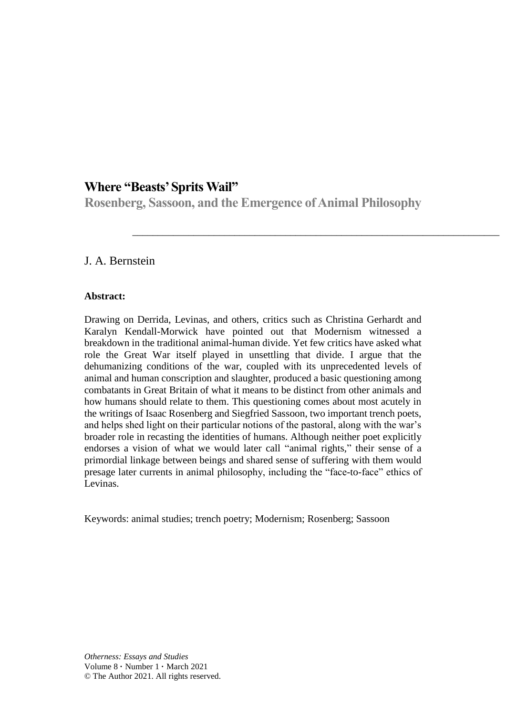# **Where "Beasts' Sprits Wail"**

**Rosenberg, Sassoon, and the Emergence of Animal Philosophy**

\_\_\_\_\_\_\_\_\_\_\_\_\_\_\_\_\_\_\_\_\_\_\_\_\_\_\_\_\_\_\_\_\_\_\_\_\_\_\_\_\_\_\_\_\_\_\_\_\_\_\_\_\_\_\_\_\_\_\_\_\_\_\_\_\_\_\_\_\_\_\_\_

## J. A. Bernstein

#### **Abstract:**

Drawing on Derrida, Levinas, and others, critics such as Christina Gerhardt and Karalyn Kendall-Morwick have pointed out that Modernism witnessed a breakdown in the traditional animal-human divide. Yet few critics have asked what role the Great War itself played in unsettling that divide. I argue that the dehumanizing conditions of the war, coupled with its unprecedented levels of animal and human conscription and slaughter, produced a basic questioning among combatants in Great Britain of what it means to be distinct from other animals and how humans should relate to them. This questioning comes about most acutely in the writings of Isaac Rosenberg and Siegfried Sassoon, two important trench poets, and helps shed light on their particular notions of the pastoral, along with the war's broader role in recasting the identities of humans. Although neither poet explicitly endorses a vision of what we would later call "animal rights," their sense of a primordial linkage between beings and shared sense of suffering with them would presage later currents in animal philosophy, including the "face-to-face" ethics of Levinas.

Keywords: animal studies; trench poetry; Modernism; Rosenberg; Sassoon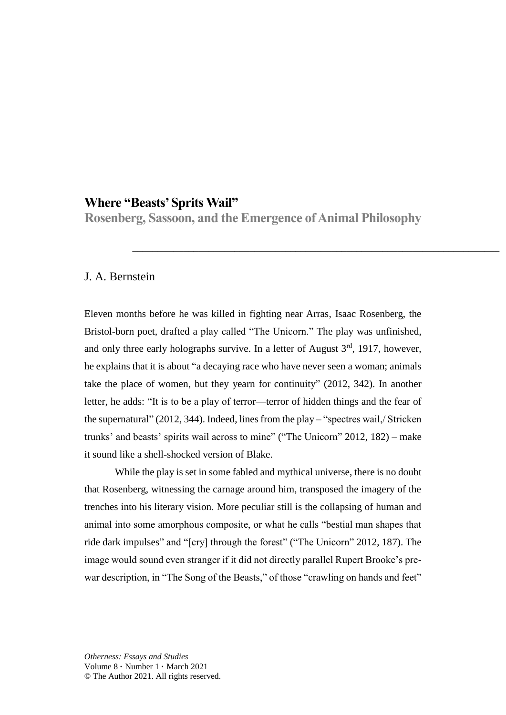# **Where "Beasts' Sprits Wail"**

**Rosenberg, Sassoon, and the Emergence of Animal Philosophy**

\_\_\_\_\_\_\_\_\_\_\_\_\_\_\_\_\_\_\_\_\_\_\_\_\_\_\_\_\_\_\_\_\_\_\_\_\_\_\_\_\_\_\_\_\_\_\_\_\_\_\_\_\_\_\_\_\_\_\_\_\_\_\_\_\_\_\_\_\_\_\_\_

### J. A. Bernstein

Eleven months before he was killed in fighting near Arras, Isaac Rosenberg, the Bristol-born poet, drafted a play called "The Unicorn." The play was unfinished, and only three early holographs survive. In a letter of August 3rd, 1917, however, he explains that it is about "a decaying race who have never seen a woman; animals take the place of women, but they yearn for continuity" (2012, 342). In another letter, he adds: "It is to be a play of terror—terror of hidden things and the fear of the supernatural" (2012, 344). Indeed, lines from the play – "spectres wail,/ Stricken trunks' and beasts' spirits wail across to mine" ("The Unicorn" 2012, 182) – make it sound like a shell-shocked version of Blake.

While the play is set in some fabled and mythical universe, there is no doubt that Rosenberg, witnessing the carnage around him, transposed the imagery of the trenches into his literary vision. More peculiar still is the collapsing of human and animal into some amorphous composite, or what he calls "bestial man shapes that ride dark impulses" and "[cry] through the forest" ("The Unicorn" 2012, 187). The image would sound even stranger if it did not directly parallel Rupert Brooke's prewar description, in "The Song of the Beasts," of those "crawling on hands and feet"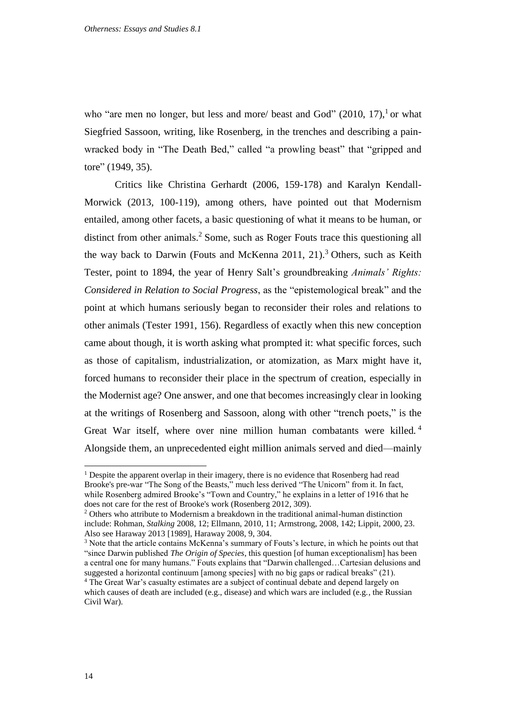who "are men no longer, but less and more/ beast and God"  $(2010, 17)$ , or what Siegfried Sassoon, writing, like Rosenberg, in the trenches and describing a painwracked body in "The Death Bed," called "a prowling beast" that "gripped and tore" (1949, 35).

Critics like Christina Gerhardt (2006, 159-178) and Karalyn Kendall-Morwick (2013, 100-119), among others, have pointed out that Modernism entailed, among other facets, a basic questioning of what it means to be human, or distinct from other animals. <sup>2</sup> Some, such as Roger Fouts trace this questioning all the way back to Darwin (Fouts and McKenna 2011, 21). <sup>3</sup> Others, such as Keith Tester, point to 1894, the year of Henry Salt's groundbreaking *Animals' Rights: Considered in Relation to Social Progress*, as the "epistemological break" and the point at which humans seriously began to reconsider their roles and relations to other animals (Tester 1991, 156). Regardless of exactly when this new conception came about though, it is worth asking what prompted it: what specific forces, such as those of capitalism, industrialization, or atomization, as Marx might have it, forced humans to reconsider their place in the spectrum of creation, especially in the Modernist age? One answer, and one that becomes increasingly clear in looking at the writings of Rosenberg and Sassoon, along with other "trench poets," is the Great War itself, where over nine million human combatants were killed.<sup>4</sup> Alongside them, an unprecedented eight million animals served and died—mainly

-

<sup>&</sup>lt;sup>1</sup> Despite the apparent overlap in their imagery, there is no evidence that Rosenberg had read Brooke's pre-war "The Song of the Beasts," much less derived "The Unicorn" from it. In fact, while Rosenberg admired Brooke's "Town and Country," he explains in a letter of 1916 that he does not care for the rest of Brooke's work (Rosenberg 2012, 309).

<sup>2</sup> Others who attribute to Modernism a breakdown in the traditional animal-human distinction include: Rohman, *Stalking* 2008, 12; Ellmann, 2010, 11; Armstrong, 2008, 142; Lippit, 2000, 23. Also see Haraway 2013 [1989], Haraway 2008, 9, 304.

<sup>&</sup>lt;sup>3</sup> Note that the article contains McKenna's summary of Fouts's lecture, in which he points out that "since Darwin published *The Origin of Species*, this question [of human exceptionalism] has been a central one for many humans." Fouts explains that "Darwin challenged…Cartesian delusions and suggested a horizontal continuum [among species] with no big gaps or radical breaks" (21).

<sup>&</sup>lt;sup>4</sup> The Great War's casualty estimates are a subject of continual debate and depend largely on which causes of death are included (e.g., disease) and which wars are included (e.g., the Russian Civil War).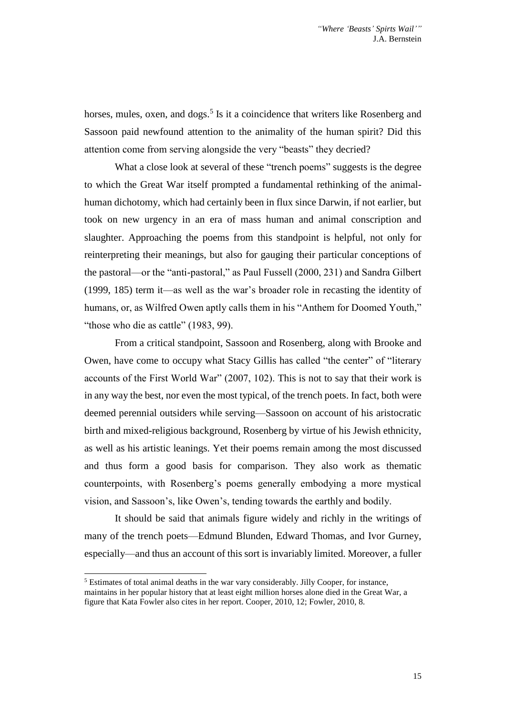horses, mules, oxen, and dogs.<sup>5</sup> Is it a coincidence that writers like Rosenberg and Sassoon paid newfound attention to the animality of the human spirit? Did this attention come from serving alongside the very "beasts" they decried?

What a close look at several of these "trench poems" suggests is the degree to which the Great War itself prompted a fundamental rethinking of the animalhuman dichotomy, which had certainly been in flux since Darwin, if not earlier, but took on new urgency in an era of mass human and animal conscription and slaughter. Approaching the poems from this standpoint is helpful, not only for reinterpreting their meanings, but also for gauging their particular conceptions of the pastoral—or the "anti-pastoral," as Paul Fussell (2000, 231) and Sandra Gilbert (1999, 185) term it—as well as the war's broader role in recasting the identity of humans, or, as Wilfred Owen aptly calls them in his "Anthem for Doomed Youth," "those who die as cattle" (1983, 99).

From a critical standpoint, Sassoon and Rosenberg, along with Brooke and Owen, have come to occupy what Stacy Gillis has called "the center" of "literary accounts of the First World War" (2007, 102). This is not to say that their work is in any way the best, nor even the most typical, of the trench poets. In fact, both were deemed perennial outsiders while serving—Sassoon on account of his aristocratic birth and mixed-religious background, Rosenberg by virtue of his Jewish ethnicity, as well as his artistic leanings. Yet their poems remain among the most discussed and thus form a good basis for comparison. They also work as thematic counterpoints, with Rosenberg's poems generally embodying a more mystical vision, and Sassoon's, like Owen's, tending towards the earthly and bodily.

It should be said that animals figure widely and richly in the writings of many of the trench poets—Edmund Blunden, Edward Thomas, and Ivor Gurney, especially—and thus an account of this sort is invariably limited. Moreover, a fuller

<sup>-</sup><sup>5</sup> Estimates of total animal deaths in the war vary considerably. Jilly Cooper, for instance, maintains in her popular history that at least eight million horses alone died in the Great War, a figure that Kata Fowler also cites in her report. Cooper, 2010, 12; Fowler, 2010, 8.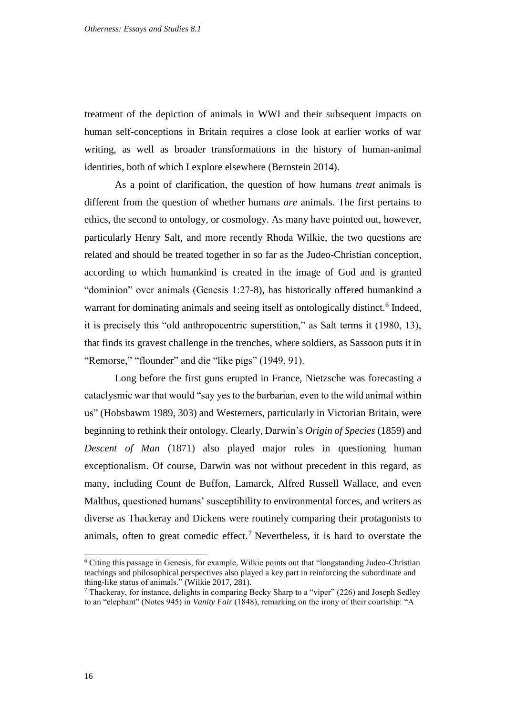treatment of the depiction of animals in WWI and their subsequent impacts on human self-conceptions in Britain requires a close look at earlier works of war writing, as well as broader transformations in the history of human-animal identities, both of which I explore elsewhere (Bernstein 2014).

As a point of clarification, the question of how humans *treat* animals is different from the question of whether humans *are* animals. The first pertains to ethics, the second to ontology, or cosmology. As many have pointed out, however, particularly Henry Salt, and more recently Rhoda Wilkie, the two questions are related and should be treated together in so far as the Judeo-Christian conception, according to which humankind is created in the image of God and is granted "dominion" over animals (Genesis 1:27-8), has historically offered humankind a warrant for dominating animals and seeing itself as ontologically distinct.<sup>6</sup> Indeed, it is precisely this "old anthropocentric superstition," as Salt terms it (1980, 13), that finds its gravest challenge in the trenches, where soldiers, as Sassoon puts it in "Remorse," "flounder" and die "like pigs" (1949, 91).

Long before the first guns erupted in France, Nietzsche was forecasting a cataclysmic war that would "say yes to the barbarian, even to the wild animal within us" (Hobsbawm 1989, 303) and Westerners, particularly in Victorian Britain, were beginning to rethink their ontology. Clearly, Darwin's *Origin of Species* (1859) and *Descent of Man* (1871) also played major roles in questioning human exceptionalism. Of course, Darwin was not without precedent in this regard, as many, including Count de Buffon, Lamarck, Alfred Russell Wallace, and even Malthus, questioned humans' susceptibility to environmental forces, and writers as diverse as Thackeray and Dickens were routinely comparing their protagonists to animals, often to great comedic effect.<sup>7</sup> Nevertheless, it is hard to overstate the

 $6$  Citing this passage in Genesis, for example, Wilkie points out that "longstanding Judeo-Christian" teachings and philosophical perspectives also played a key part in reinforcing the subordinate and thing-like status of animals." (Wilkie 2017, 281).

<sup>&</sup>lt;sup>7</sup> Thackeray, for instance, delights in comparing Becky Sharp to a "viper" (226) and Joseph Sedley to an "elephant" (Notes 945) in *Vanity Fair* (1848), remarking on the irony of their courtship: "A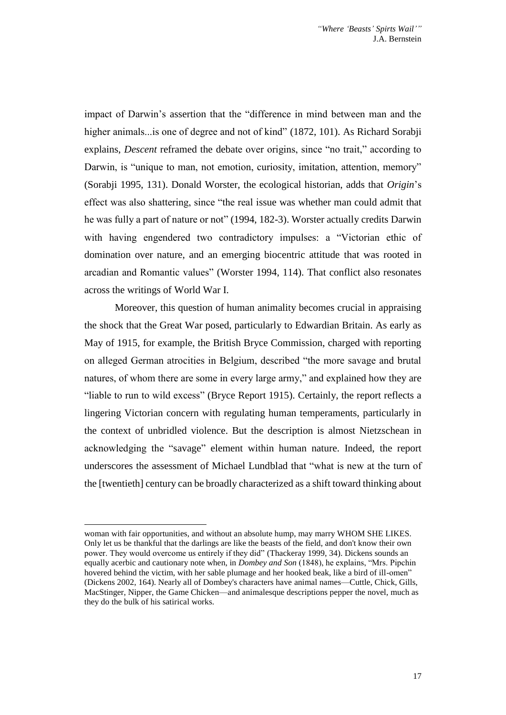impact of Darwin's assertion that the "difference in mind between man and the higher animals...is one of degree and not of kind" (1872, 101). As Richard Sorabji explains, *Descent* reframed the debate over origins, since "no trait," according to Darwin, is "unique to man, not emotion, curiosity, imitation, attention, memory" (Sorabji 1995, 131). Donald Worster, the ecological historian, adds that *Origin*'s effect was also shattering, since "the real issue was whether man could admit that he was fully a part of nature or not" (1994, 182-3). Worster actually credits Darwin with having engendered two contradictory impulses: a "Victorian ethic of domination over nature, and an emerging biocentric attitude that was rooted in arcadian and Romantic values" (Worster 1994, 114). That conflict also resonates across the writings of World War I.

Moreover, this question of human animality becomes crucial in appraising the shock that the Great War posed, particularly to Edwardian Britain. As early as May of 1915, for example, the British Bryce Commission, charged with reporting on alleged German atrocities in Belgium, described "the more savage and brutal natures, of whom there are some in every large army," and explained how they are "liable to run to wild excess" (Bryce Report 1915). Certainly, the report reflects a lingering Victorian concern with regulating human temperaments, particularly in the context of unbridled violence. But the description is almost Nietzschean in acknowledging the "savage" element within human nature. Indeed, the report underscores the assessment of Michael Lundblad that "what is new at the turn of the [twentieth] century can be broadly characterized as a shift toward thinking about

woman with fair opportunities, and without an absolute hump, may marry WHOM SHE LIKES. Only let us be thankful that the darlings are like the beasts of the field, and don't know their own power. They would overcome us entirely if they did" (Thackeray 1999, 34). Dickens sounds an equally acerbic and cautionary note when, in *Dombey and Son* (1848), he explains, "Mrs. Pipchin hovered behind the victim, with her sable plumage and her hooked beak, like a bird of ill-omen" (Dickens 2002, 164). Nearly all of Dombey's characters have animal names—Cuttle, Chick, Gills, MacStinger, Nipper, the Game Chicken—and animalesque descriptions pepper the novel, much as they do the bulk of his satirical works.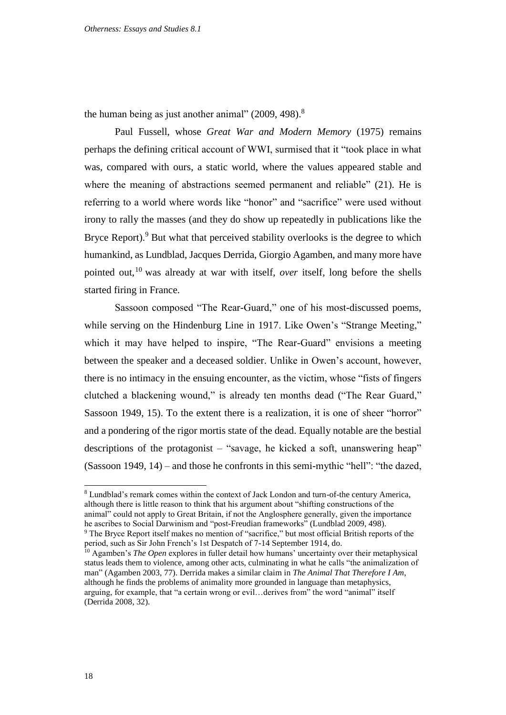the human being as just another animal"  $(2009, 498).$ <sup>8</sup>

Paul Fussell, whose *Great War and Modern Memory* (1975) remains perhaps the defining critical account of WWI, surmised that it "took place in what was, compared with ours, a static world, where the values appeared stable and where the meaning of abstractions seemed permanent and reliable" (21). He is referring to a world where words like "honor" and "sacrifice" were used without irony to rally the masses (and they do show up repeatedly in publications like the Bryce Report). $9$  But what that perceived stability overlooks is the degree to which humankind, as Lundblad, Jacques Derrida, Giorgio Agamben, and many more have pointed out,<sup>10</sup> was already at war with itself, *over* itself, long before the shells started firing in France.

Sassoon composed "The Rear-Guard," one of his most-discussed poems, while serving on the Hindenburg Line in 1917. Like Owen's "Strange Meeting," which it may have helped to inspire, "The Rear-Guard" envisions a meeting between the speaker and a deceased soldier. Unlike in Owen's account, however, there is no intimacy in the ensuing encounter, as the victim, whose "fists of fingers clutched a blackening wound," is already ten months dead ("The Rear Guard," Sassoon 1949, 15). To the extent there is a realization, it is one of sheer "horror" and a pondering of the rigor mortis state of the dead. Equally notable are the bestial descriptions of the protagonist – "savage, he kicked a soft, unanswering heap" (Sassoon 1949, 14) – and those he confronts in this semi-mythic "hell": "the dazed,

-

<sup>8</sup> Lundblad's remark comes within the context of Jack London and turn-of-the century America, although there is little reason to think that his argument about "shifting constructions of the animal" could not apply to Great Britain, if not the Anglosphere generally, given the importance he ascribes to Social Darwinism and "post-Freudian frameworks" (Lundblad 2009, 498).

<sup>&</sup>lt;sup>9</sup> The Bryce Report itself makes no mention of "sacrifice," but most official British reports of the period, such as Sir John French's 1st Despatch of 7-14 September 1914, do.

<sup>10</sup> Agamben's *The Open* explores in fuller detail how humans' uncertainty over their metaphysical status leads them to violence, among other acts, culminating in what he calls "the animalization of man" (Agamben 2003, 77). Derrida makes a similar claim in *The Animal That Therefore I Am*, although he finds the problems of animality more grounded in language than metaphysics, arguing, for example, that "a certain wrong or evil…derives from" the word "animal" itself (Derrida 2008, 32).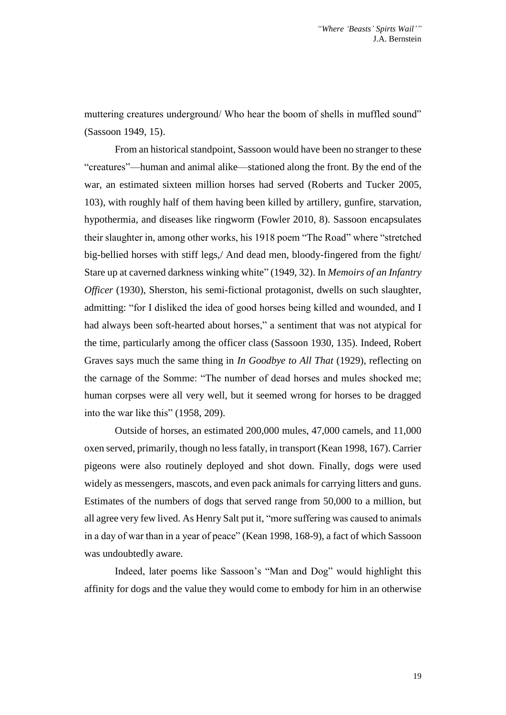muttering creatures underground/ Who hear the boom of shells in muffled sound" (Sassoon 1949, 15).

From an historical standpoint, Sassoon would have been no stranger to these "creatures"—human and animal alike—stationed along the front. By the end of the war, an estimated sixteen million horses had served (Roberts and Tucker 2005, 103), with roughly half of them having been killed by artillery, gunfire, starvation, hypothermia, and diseases like ringworm (Fowler 2010, 8). Sassoon encapsulates their slaughter in, among other works, his 1918 poem "The Road" where "stretched big-bellied horses with stiff legs,/ And dead men, bloody-fingered from the fight/ Stare up at caverned darkness winking white" (1949, 32). In *Memoirs of an Infantry Officer* (1930), Sherston, his semi-fictional protagonist, dwells on such slaughter, admitting: "for I disliked the idea of good horses being killed and wounded, and I had always been soft-hearted about horses," a sentiment that was not atypical for the time, particularly among the officer class (Sassoon 1930, 135). Indeed, Robert Graves says much the same thing in *In Goodbye to All That* (1929), reflecting on the carnage of the Somme: "The number of dead horses and mules shocked me; human corpses were all very well, but it seemed wrong for horses to be dragged into the war like this" (1958, 209).

Outside of horses, an estimated 200,000 mules, 47,000 camels, and 11,000 oxen served, primarily, though no less fatally, in transport (Kean 1998, 167). Carrier pigeons were also routinely deployed and shot down. Finally, dogs were used widely as messengers, mascots, and even pack animals for carrying litters and guns. Estimates of the numbers of dogs that served range from 50,000 to a million, but all agree very few lived. As Henry Salt put it, "more suffering was caused to animals in a day of war than in a year of peace" (Kean 1998, 168-9), a fact of which Sassoon was undoubtedly aware.

Indeed, later poems like Sassoon's "Man and Dog" would highlight this affinity for dogs and the value they would come to embody for him in an otherwise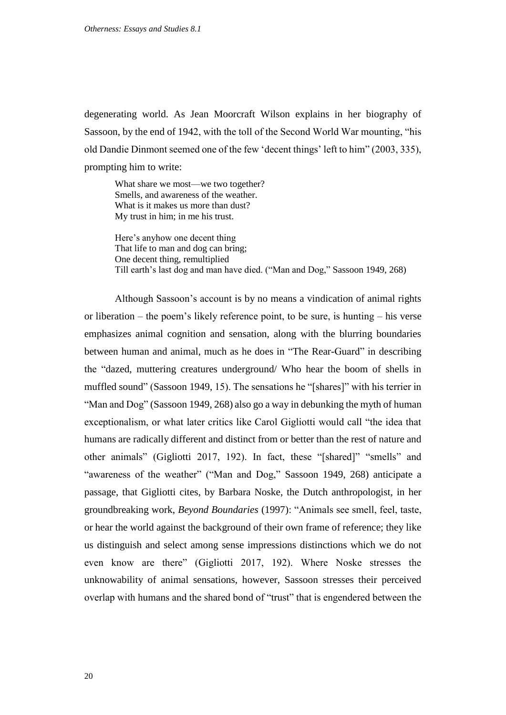degenerating world. As Jean Moorcraft Wilson explains in her biography of Sassoon, by the end of 1942, with the toll of the Second World War mounting, "his old Dandie Dinmont seemed one of the few 'decent things' left to him" (2003, 335), prompting him to write:

What share we most—we two together? Smells, and awareness of the weather. What is it makes us more than dust? My trust in him; in me his trust.

Here's anyhow one decent thing That life to man and dog can bring; One decent thing, remultiplied Till earth's last dog and man have died. ("Man and Dog," Sassoon 1949, 268)

Although Sassoon's account is by no means a vindication of animal rights or liberation – the poem's likely reference point, to be sure, is hunting – his verse emphasizes animal cognition and sensation, along with the blurring boundaries between human and animal, much as he does in "The Rear-Guard" in describing the "dazed, muttering creatures underground/ Who hear the boom of shells in muffled sound" (Sassoon 1949, 15). The sensations he "[shares]" with his terrier in "Man and Dog" (Sassoon 1949, 268) also go a way in debunking the myth of human exceptionalism, or what later critics like Carol Gigliotti would call "the idea that humans are radically different and distinct from or better than the rest of nature and other animals" (Gigliotti 2017, 192). In fact, these "[shared]" "smells" and "awareness of the weather" ("Man and Dog," Sassoon 1949, 268) anticipate a passage, that Gigliotti cites, by Barbara Noske, the Dutch anthropologist, in her groundbreaking work, *Beyond Boundaries* (1997): "Animals see smell, feel, taste, or hear the world against the background of their own frame of reference; they like us distinguish and select among sense impressions distinctions which we do not even know are there" (Gigliotti 2017, 192). Where Noske stresses the unknowability of animal sensations, however, Sassoon stresses their perceived overlap with humans and the shared bond of "trust" that is engendered between the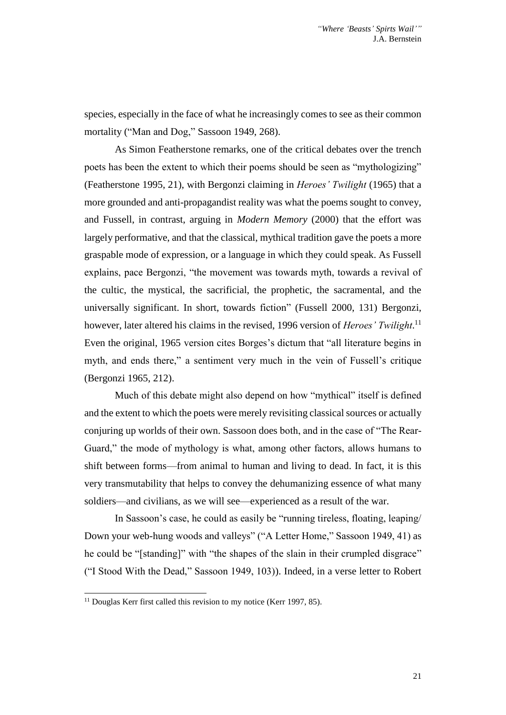species, especially in the face of what he increasingly comes to see as their common mortality ("Man and Dog," Sassoon 1949, 268).

As Simon Featherstone remarks, one of the critical debates over the trench poets has been the extent to which their poems should be seen as "mythologizing" (Featherstone 1995, 21), with Bergonzi claiming in *Heroes' Twilight* (1965) that a more grounded and anti-propagandist reality was what the poems sought to convey, and Fussell, in contrast, arguing in *Modern Memory* (2000) that the effort was largely performative, and that the classical, mythical tradition gave the poets a more graspable mode of expression, or a language in which they could speak. As Fussell explains, pace Bergonzi, "the movement was towards myth, towards a revival of the cultic, the mystical, the sacrificial, the prophetic, the sacramental, and the universally significant. In short, towards fiction" (Fussell 2000, 131) Bergonzi, however, later altered his claims in the revised, 1996 version of *Heroes' Twilight*. 11 Even the original, 1965 version cites Borges's dictum that "all literature begins in myth, and ends there," a sentiment very much in the vein of Fussell's critique (Bergonzi 1965, 212).

Much of this debate might also depend on how "mythical" itself is defined and the extent to which the poets were merely revisiting classical sources or actually conjuring up worlds of their own. Sassoon does both, and in the case of "The Rear-Guard," the mode of mythology is what, among other factors, allows humans to shift between forms—from animal to human and living to dead. In fact, it is this very transmutability that helps to convey the dehumanizing essence of what many soldiers—and civilians, as we will see—experienced as a result of the war.

In Sassoon's case, he could as easily be "running tireless, floating, leaping/ Down your web-hung woods and valleys" ("A Letter Home," Sassoon 1949, 41) as he could be "[standing]" with "the shapes of the slain in their crumpled disgrace" ("I Stood With the Dead," Sassoon 1949, 103)). Indeed, in a verse letter to Robert

<sup>&</sup>lt;sup>11</sup> Douglas Kerr first called this revision to my notice (Kerr 1997, 85).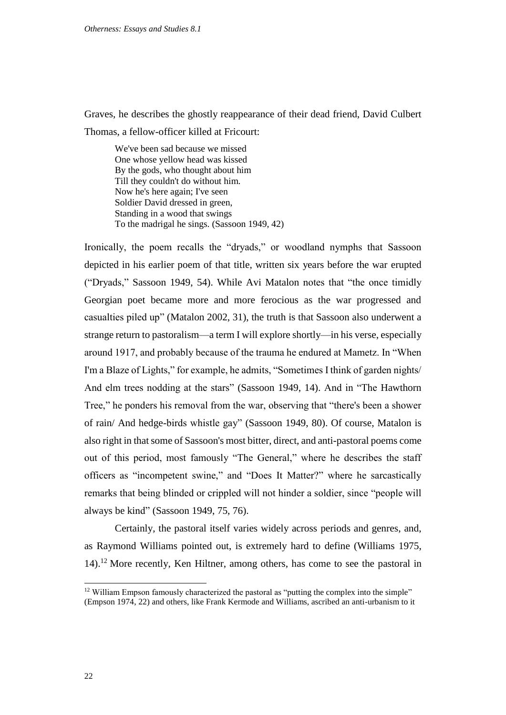Graves, he describes the ghostly reappearance of their dead friend, David Culbert Thomas, a fellow-officer killed at Fricourt:

We've been sad because we missed One whose yellow head was kissed By the gods, who thought about him Till they couldn't do without him. Now he's here again; I've seen Soldier David dressed in green, Standing in a wood that swings To the madrigal he sings. (Sassoon 1949, 42)

Ironically, the poem recalls the "dryads," or woodland nymphs that Sassoon depicted in his earlier poem of that title, written six years before the war erupted ("Dryads," Sassoon 1949, 54). While Avi Matalon notes that "the once timidly Georgian poet became more and more ferocious as the war progressed and casualties piled up" (Matalon 2002, 31), the truth is that Sassoon also underwent a strange return to pastoralism—a term I will explore shortly—in his verse, especially around 1917, and probably because of the trauma he endured at Mametz. In "When I'm a Blaze of Lights," for example, he admits, "Sometimes I think of garden nights/ And elm trees nodding at the stars" (Sassoon 1949, 14). And in "The Hawthorn Tree," he ponders his removal from the war, observing that "there's been a shower of rain/ And hedge-birds whistle gay" (Sassoon 1949, 80). Of course, Matalon is also right in that some of Sassoon's most bitter, direct, and anti-pastoral poems come out of this period, most famously "The General," where he describes the staff officers as "incompetent swine," and "Does It Matter?" where he sarcastically remarks that being blinded or crippled will not hinder a soldier, since "people will always be kind" (Sassoon 1949, 75, 76).

Certainly, the pastoral itself varies widely across periods and genres, and, as Raymond Williams pointed out, is extremely hard to define (Williams 1975, 14). <sup>12</sup> More recently, Ken Hiltner, among others, has come to see the pastoral in

<sup>&</sup>lt;sup>12</sup> William Empson famously characterized the pastoral as "putting the complex into the simple" (Empson 1974, 22) and others, like Frank Kermode and Williams, ascribed an anti-urbanism to it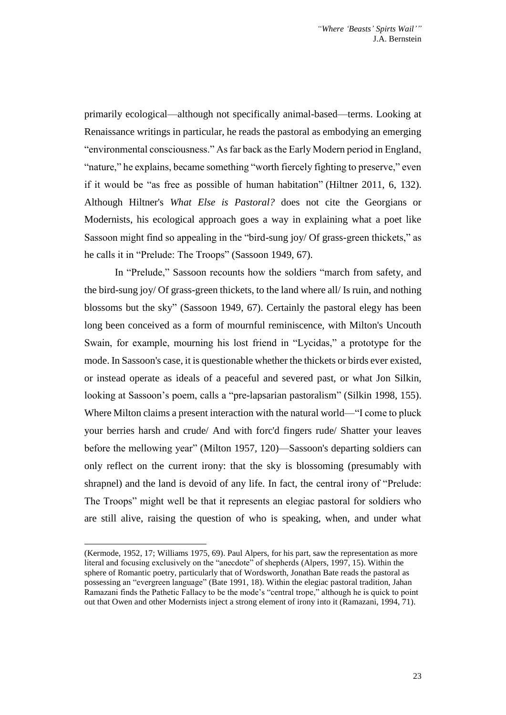primarily ecological—although not specifically animal-based—terms. Looking at Renaissance writings in particular, he reads the pastoral as embodying an emerging "environmental consciousness." As far back as the Early Modern period in England, "nature," he explains, became something "worth fiercely fighting to preserve," even if it would be "as free as possible of human habitation" (Hiltner 2011, 6, 132). Although Hiltner's *What Else is Pastoral?* does not cite the Georgians or Modernists, his ecological approach goes a way in explaining what a poet like Sassoon might find so appealing in the "bird-sung joy/ Of grass-green thickets," as he calls it in "Prelude: The Troops" (Sassoon 1949, 67).

In "Prelude," Sassoon recounts how the soldiers "march from safety, and the bird-sung joy/ Of grass-green thickets, to the land where all/ Is ruin, and nothing blossoms but the sky" (Sassoon 1949, 67). Certainly the pastoral elegy has been long been conceived as a form of mournful reminiscence, with Milton's Uncouth Swain, for example, mourning his lost friend in "Lycidas," a prototype for the mode. In Sassoon's case, it is questionable whether the thickets or birds ever existed, or instead operate as ideals of a peaceful and severed past, or what Jon Silkin, looking at Sassoon's poem, calls a "pre-lapsarian pastoralism" (Silkin 1998, 155). Where Milton claims a present interaction with the natural world—"I come to pluck your berries harsh and crude/ And with forc'd fingers rude/ Shatter your leaves before the mellowing year" (Milton 1957, 120)—Sassoon's departing soldiers can only reflect on the current irony: that the sky is blossoming (presumably with shrapnel) and the land is devoid of any life. In fact, the central irony of "Prelude: The Troops" might well be that it represents an elegiac pastoral for soldiers who are still alive, raising the question of who is speaking, when, and under what

-

<sup>(</sup>Kermode, 1952, 17; Williams 1975, 69). Paul Alpers, for his part, saw the representation as more literal and focusing exclusively on the "anecdote" of shepherds (Alpers, 1997, 15). Within the sphere of Romantic poetry, particularly that of Wordsworth, Jonathan Bate reads the pastoral as possessing an "evergreen language" (Bate 1991, 18). Within the elegiac pastoral tradition, Jahan Ramazani finds the Pathetic Fallacy to be the mode's "central trope," although he is quick to point out that Owen and other Modernists inject a strong element of irony into it (Ramazani, 1994, 71).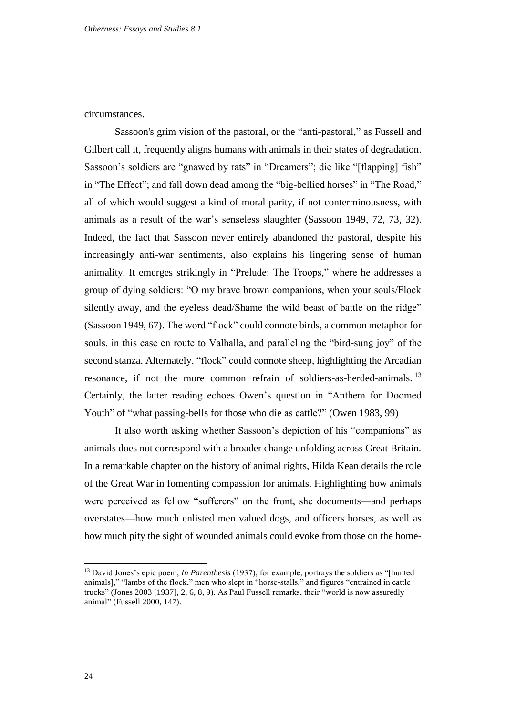circumstances.

Sassoon's grim vision of the pastoral, or the "anti-pastoral," as Fussell and Gilbert call it, frequently aligns humans with animals in their states of degradation. Sassoon's soldiers are "gnawed by rats" in "Dreamers"; die like "[flapping] fish" in "The Effect"; and fall down dead among the "big-bellied horses" in "The Road," all of which would suggest a kind of moral parity, if not conterminousness, with animals as a result of the war's senseless slaughter (Sassoon 1949, 72, 73, 32). Indeed, the fact that Sassoon never entirely abandoned the pastoral, despite his increasingly anti-war sentiments, also explains his lingering sense of human animality. It emerges strikingly in "Prelude: The Troops," where he addresses a group of dying soldiers: "O my brave brown companions, when your souls/Flock silently away, and the eyeless dead/Shame the wild beast of battle on the ridge" (Sassoon 1949, 67). The word "flock" could connote birds, a common metaphor for souls, in this case en route to Valhalla, and paralleling the "bird-sung joy" of the second stanza. Alternately, "flock" could connote sheep, highlighting the Arcadian resonance, if not the more common refrain of soldiers-as-herded-animals.<sup>13</sup> Certainly, the latter reading echoes Owen's question in "Anthem for Doomed Youth" of "what passing-bells for those who die as cattle?" (Owen 1983, 99)

It also worth asking whether Sassoon's depiction of his "companions" as animals does not correspond with a broader change unfolding across Great Britain. In a remarkable chapter on the history of animal rights, Hilda Kean details the role of the Great War in fomenting compassion for animals. Highlighting how animals were perceived as fellow "sufferers" on the front, she documents—and perhaps overstates—how much enlisted men valued dogs, and officers horses, as well as how much pity the sight of wounded animals could evoke from those on the home-

<sup>&</sup>lt;sup>13</sup> David Jones's epic poem, *In Parenthesis* (1937), for example, portrays the soldiers as "[hunted animals]," "lambs of the flock," men who slept in "horse-stalls," and figures "entrained in cattle trucks" (Jones 2003 [1937], 2, 6, 8, 9). As Paul Fussell remarks, their "world is now assuredly animal" (Fussell 2000, 147).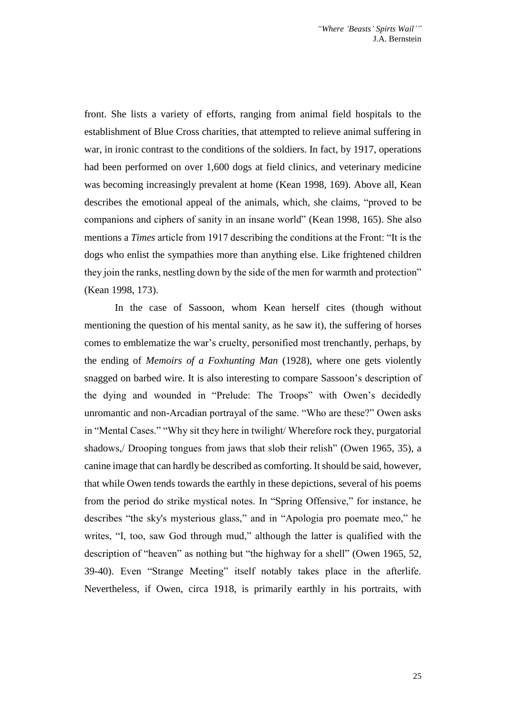front. She lists a variety of efforts, ranging from animal field hospitals to the establishment of Blue Cross charities, that attempted to relieve animal suffering in war, in ironic contrast to the conditions of the soldiers. In fact, by 1917, operations had been performed on over 1,600 dogs at field clinics, and veterinary medicine was becoming increasingly prevalent at home (Kean 1998, 169). Above all, Kean describes the emotional appeal of the animals, which, she claims, "proved to be companions and ciphers of sanity in an insane world" (Kean 1998, 165). She also mentions a *Times* article from 1917 describing the conditions at the Front: "It is the dogs who enlist the sympathies more than anything else. Like frightened children they join the ranks, nestling down by the side of the men for warmth and protection" (Kean 1998, 173).

In the case of Sassoon, whom Kean herself cites (though without mentioning the question of his mental sanity, as he saw it), the suffering of horses comes to emblematize the war's cruelty, personified most trenchantly, perhaps, by the ending of *Memoirs of a Foxhunting Man* (1928), where one gets violently snagged on barbed wire. It is also interesting to compare Sassoon's description of the dying and wounded in "Prelude: The Troops" with Owen's decidedly unromantic and non-Arcadian portrayal of the same. "Who are these?" Owen asks in "Mental Cases." "Why sit they here in twilight/ Wherefore rock they, purgatorial shadows,/ Drooping tongues from jaws that slob their relish" (Owen 1965, 35), a canine image that can hardly be described as comforting. It should be said, however, that while Owen tends towards the earthly in these depictions, several of his poems from the period do strike mystical notes. In "Spring Offensive," for instance, he describes "the sky's mysterious glass," and in "Apologia pro poemate meo," he writes, "I, too, saw God through mud," although the latter is qualified with the description of "heaven" as nothing but "the highway for a shell" (Owen 1965, 52, 39-40). Even "Strange Meeting" itself notably takes place in the afterlife. Nevertheless, if Owen, circa 1918, is primarily earthly in his portraits, with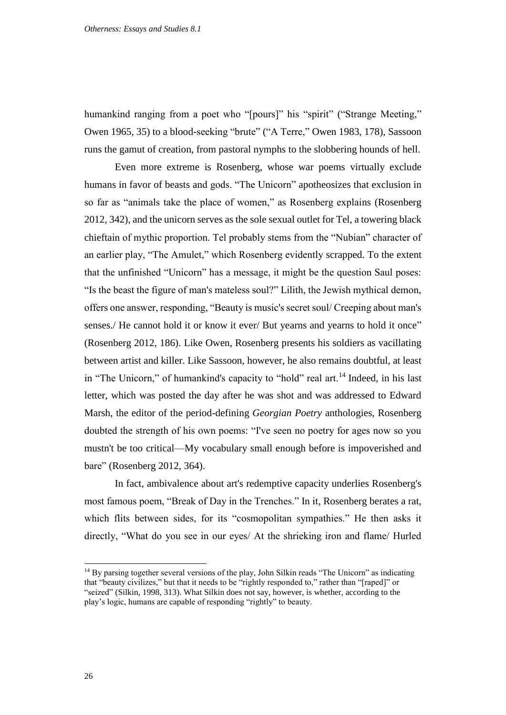humankind ranging from a poet who "[pours]" his "spirit" ("Strange Meeting," Owen 1965, 35) to a blood-seeking "brute" ("A Terre," Owen 1983, 178), Sassoon runs the gamut of creation, from pastoral nymphs to the slobbering hounds of hell.

Even more extreme is Rosenberg, whose war poems virtually exclude humans in favor of beasts and gods. "The Unicorn" apotheosizes that exclusion in so far as "animals take the place of women," as Rosenberg explains (Rosenberg 2012, 342), and the unicorn serves as the sole sexual outlet for Tel, a towering black chieftain of mythic proportion. Tel probably stems from the "Nubian" character of an earlier play, "The Amulet," which Rosenberg evidently scrapped. To the extent that the unfinished "Unicorn" has a message, it might be the question Saul poses: "Is the beast the figure of man's mateless soul?" Lilith, the Jewish mythical demon, offers one answer, responding, "Beauty is music's secret soul/ Creeping about man's senses./ He cannot hold it or know it ever/ But yearns and yearns to hold it once" (Rosenberg 2012, 186). Like Owen, Rosenberg presents his soldiers as vacillating between artist and killer. Like Sassoon, however, he also remains doubtful, at least in "The Unicorn," of humankind's capacity to "hold" real art.<sup>14</sup> Indeed, in his last letter, which was posted the day after he was shot and was addressed to Edward Marsh, the editor of the period-defining *Georgian Poetry* anthologies, Rosenberg doubted the strength of his own poems: "I've seen no poetry for ages now so you mustn't be too critical—My vocabulary small enough before is impoverished and bare" (Rosenberg 2012, 364).

In fact, ambivalence about art's redemptive capacity underlies Rosenberg's most famous poem, "Break of Day in the Trenches." In it, Rosenberg berates a rat, which flits between sides, for its "cosmopolitan sympathies." He then asks it directly, "What do you see in our eyes/ At the shrieking iron and flame/ Hurled

<sup>&</sup>lt;sup>14</sup> By parsing together several versions of the play, John Silkin reads "The Unicorn" as indicating that "beauty civilizes," but that it needs to be "rightly responded to," rather than "[raped]" or "seized" (Silkin, 1998, 313). What Silkin does not say, however, is whether, according to the play's logic, humans are capable of responding "rightly" to beauty.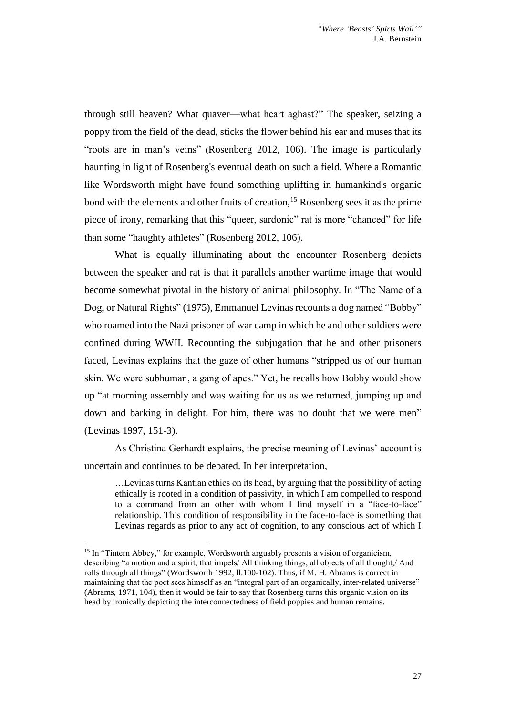through still heaven? What quaver—what heart aghast?" The speaker, seizing a poppy from the field of the dead, sticks the flower behind his ear and muses that its "roots are in man's veins" (Rosenberg 2012, 106). The image is particularly haunting in light of Rosenberg's eventual death on such a field. Where a Romantic like Wordsworth might have found something uplifting in humankind's organic bond with the elements and other fruits of creation,  $15$  Rosenberg sees it as the prime piece of irony, remarking that this "queer, sardonic" rat is more "chanced" for life than some "haughty athletes" (Rosenberg 2012, 106).

What is equally illuminating about the encounter Rosenberg depicts between the speaker and rat is that it parallels another wartime image that would become somewhat pivotal in the history of animal philosophy. In "The Name of a Dog, or Natural Rights" (1975), Emmanuel Levinas recounts a dog named "Bobby" who roamed into the Nazi prisoner of war camp in which he and other soldiers were confined during WWII. Recounting the subjugation that he and other prisoners faced, Levinas explains that the gaze of other humans "stripped us of our human skin. We were subhuman, a gang of apes." Yet, he recalls how Bobby would show up "at morning assembly and was waiting for us as we returned, jumping up and down and barking in delight. For him, there was no doubt that we were men" (Levinas 1997, 151-3).

As Christina Gerhardt explains, the precise meaning of Levinas' account is uncertain and continues to be debated. In her interpretation,

…Levinas turns Kantian ethics on its head, by arguing that the possibility of acting ethically is rooted in a condition of passivity, in which I am compelled to respond to a command from an other with whom I find myself in a "face-to-face" relationship. This condition of responsibility in the face-to-face is something that Levinas regards as prior to any act of cognition, to any conscious act of which I

-

<sup>&</sup>lt;sup>15</sup> In "Tintern Abbey," for example, Wordsworth arguably presents a vision of organicism, describing "a motion and a spirit, that impels/ All thinking things, all objects of all thought,/ And rolls through all things" (Wordsworth 1992, ll.100-102). Thus, if M. H. Abrams is correct in maintaining that the poet sees himself as an "integral part of an organically, inter-related universe" (Abrams, 1971, 104), then it would be fair to say that Rosenberg turns this organic vision on its head by ironically depicting the interconnectedness of field poppies and human remains.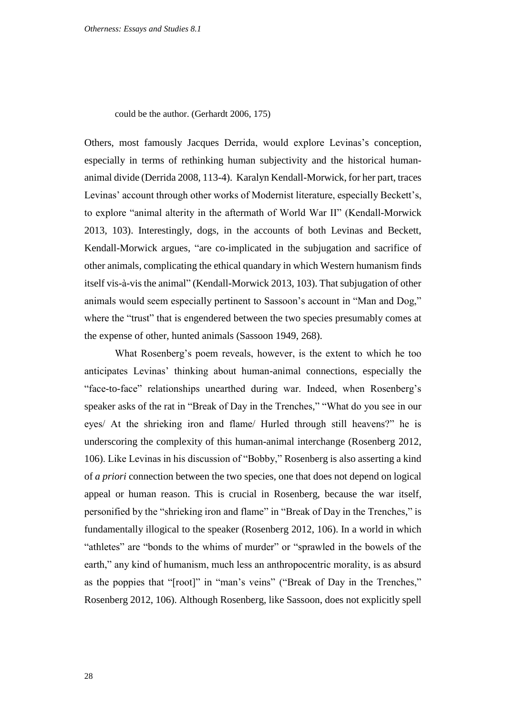could be the author. (Gerhardt 2006, 175)

Others, most famously Jacques Derrida, would explore Levinas's conception, especially in terms of rethinking human subjectivity and the historical humananimal divide (Derrida 2008, 113-4). Karalyn Kendall-Morwick, for her part, traces Levinas' account through other works of Modernist literature, especially Beckett's, to explore "animal alterity in the aftermath of World War II" (Kendall-Morwick 2013, 103). Interestingly, dogs, in the accounts of both Levinas and Beckett, Kendall-Morwick argues, "are co-implicated in the subjugation and sacrifice of other animals, complicating the ethical quandary in which Western humanism finds itself vis-à-vis the animal" (Kendall-Morwick 2013, 103). That subjugation of other animals would seem especially pertinent to Sassoon's account in "Man and Dog," where the "trust" that is engendered between the two species presumably comes at the expense of other, hunted animals (Sassoon 1949, 268).

What Rosenberg's poem reveals, however, is the extent to which he too anticipates Levinas' thinking about human-animal connections, especially the "face-to-face" relationships unearthed during war. Indeed, when Rosenberg's speaker asks of the rat in "Break of Day in the Trenches," "What do you see in our eyes/ At the shrieking iron and flame/ Hurled through still heavens?" he is underscoring the complexity of this human-animal interchange (Rosenberg 2012, 106). Like Levinas in his discussion of "Bobby," Rosenberg is also asserting a kind of *a priori* connection between the two species, one that does not depend on logical appeal or human reason. This is crucial in Rosenberg, because the war itself, personified by the "shrieking iron and flame" in "Break of Day in the Trenches," is fundamentally illogical to the speaker (Rosenberg 2012, 106). In a world in which "athletes" are "bonds to the whims of murder" or "sprawled in the bowels of the earth," any kind of humanism, much less an anthropocentric morality, is as absurd as the poppies that "[root]" in "man's veins" ("Break of Day in the Trenches," Rosenberg 2012, 106). Although Rosenberg, like Sassoon, does not explicitly spell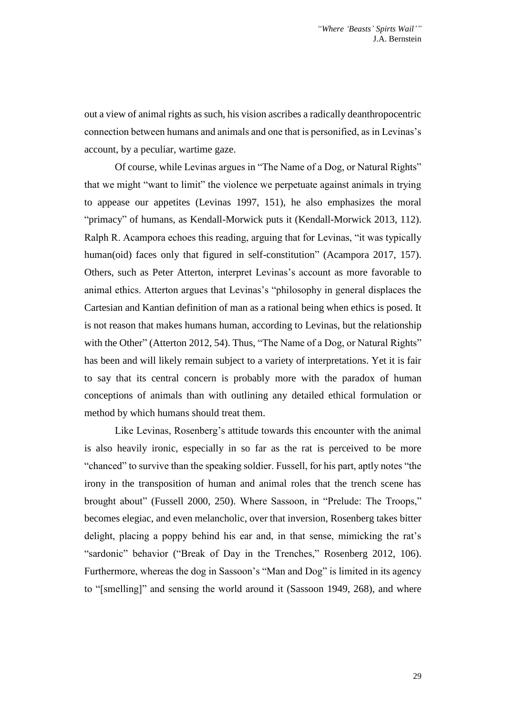out a view of animal rights as such, his vision ascribes a radically deanthropocentric connection between humans and animals and one that is personified, as in Levinas's account, by a peculiar, wartime gaze.

Of course, while Levinas argues in "The Name of a Dog, or Natural Rights" that we might "want to limit" the violence we perpetuate against animals in trying to appease our appetites (Levinas 1997, 151), he also emphasizes the moral "primacy" of humans, as Kendall-Morwick puts it (Kendall-Morwick 2013, 112). Ralph R. Acampora echoes this reading, arguing that for Levinas, "it was typically human(oid) faces only that figured in self-constitution" (Acampora 2017, 157). Others, such as Peter Atterton, interpret Levinas's account as more favorable to animal ethics. Atterton argues that Levinas's "philosophy in general displaces the Cartesian and Kantian definition of man as a rational being when ethics is posed. It is not reason that makes humans human, according to Levinas, but the relationship with the Other" (Atterton 2012, 54). Thus, "The Name of a Dog, or Natural Rights" has been and will likely remain subject to a variety of interpretations. Yet it is fair to say that its central concern is probably more with the paradox of human conceptions of animals than with outlining any detailed ethical formulation or method by which humans should treat them.

Like Levinas, Rosenberg's attitude towards this encounter with the animal is also heavily ironic, especially in so far as the rat is perceived to be more "chanced" to survive than the speaking soldier. Fussell, for his part, aptly notes "the irony in the transposition of human and animal roles that the trench scene has brought about" (Fussell 2000, 250). Where Sassoon, in "Prelude: The Troops," becomes elegiac, and even melancholic, over that inversion, Rosenberg takes bitter delight, placing a poppy behind his ear and, in that sense, mimicking the rat's "sardonic" behavior ("Break of Day in the Trenches," Rosenberg 2012, 106). Furthermore, whereas the dog in Sassoon's "Man and Dog" is limited in its agency to "[smelling]" and sensing the world around it (Sassoon 1949, 268), and where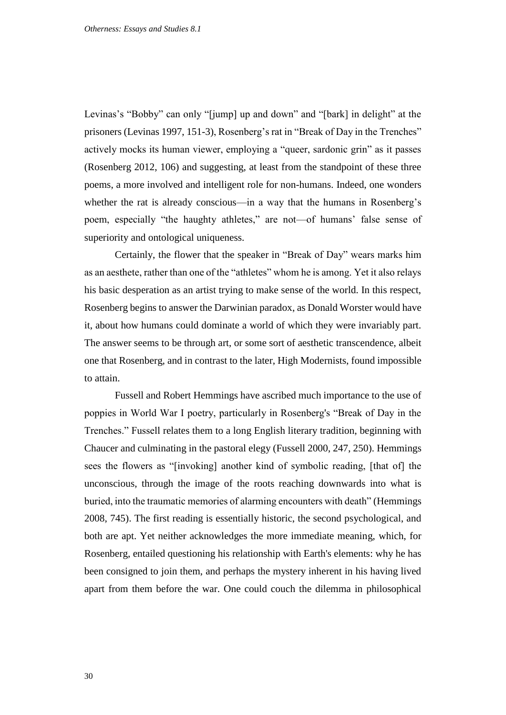Levinas's "Bobby" can only "[jump] up and down" and "[bark] in delight" at the prisoners (Levinas 1997, 151-3), Rosenberg's rat in "Break of Day in the Trenches" actively mocks its human viewer, employing a "queer, sardonic grin" as it passes (Rosenberg 2012, 106) and suggesting, at least from the standpoint of these three poems, a more involved and intelligent role for non-humans. Indeed, one wonders whether the rat is already conscious—in a way that the humans in Rosenberg's poem, especially "the haughty athletes," are not—of humans' false sense of superiority and ontological uniqueness.

Certainly, the flower that the speaker in "Break of Day" wears marks him as an aesthete, rather than one of the "athletes" whom he is among. Yet it also relays his basic desperation as an artist trying to make sense of the world. In this respect, Rosenberg begins to answer the Darwinian paradox, as Donald Worster would have it, about how humans could dominate a world of which they were invariably part. The answer seems to be through art, or some sort of aesthetic transcendence, albeit one that Rosenberg, and in contrast to the later, High Modernists, found impossible to attain.

Fussell and Robert Hemmings have ascribed much importance to the use of poppies in World War I poetry, particularly in Rosenberg's "Break of Day in the Trenches." Fussell relates them to a long English literary tradition, beginning with Chaucer and culminating in the pastoral elegy (Fussell 2000, 247, 250). Hemmings sees the flowers as "[invoking] another kind of symbolic reading, [that of] the unconscious, through the image of the roots reaching downwards into what is buried, into the traumatic memories of alarming encounters with death" (Hemmings 2008, 745). The first reading is essentially historic, the second psychological, and both are apt. Yet neither acknowledges the more immediate meaning, which, for Rosenberg, entailed questioning his relationship with Earth's elements: why he has been consigned to join them, and perhaps the mystery inherent in his having lived apart from them before the war. One could couch the dilemma in philosophical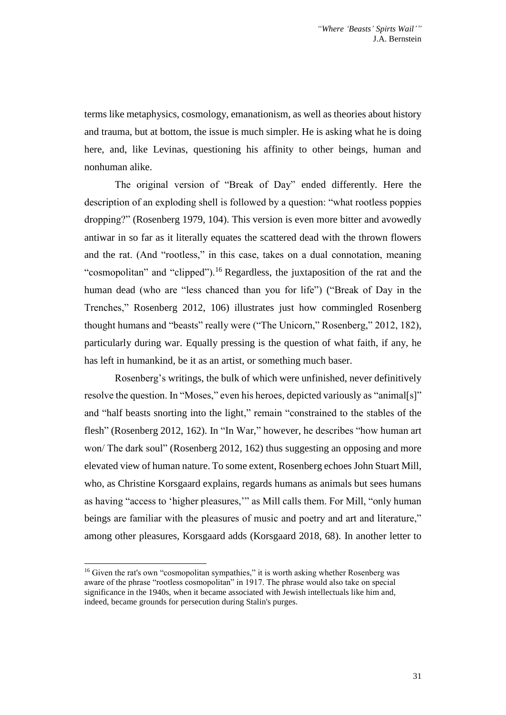terms like metaphysics, cosmology, emanationism, as well as theories about history and trauma, but at bottom, the issue is much simpler. He is asking what he is doing here, and, like Levinas, questioning his affinity to other beings, human and nonhuman alike.

The original version of "Break of Day" ended differently. Here the description of an exploding shell is followed by a question: "what rootless poppies dropping?" (Rosenberg 1979, 104). This version is even more bitter and avowedly antiwar in so far as it literally equates the scattered dead with the thrown flowers and the rat. (And "rootless," in this case, takes on a dual connotation, meaning "cosmopolitan" and "clipped").<sup>16</sup> Regardless, the juxtaposition of the rat and the human dead (who are "less chanced than you for life") ("Break of Day in the Trenches," Rosenberg 2012, 106) illustrates just how commingled Rosenberg thought humans and "beasts" really were ("The Unicorn," Rosenberg," 2012, 182), particularly during war. Equally pressing is the question of what faith, if any, he has left in humankind, be it as an artist, or something much baser.

Rosenberg's writings, the bulk of which were unfinished, never definitively resolve the question. In "Moses," even his heroes, depicted variously as "animal[s]" and "half beasts snorting into the light," remain "constrained to the stables of the flesh" (Rosenberg 2012, 162). In "In War," however, he describes "how human art won/ The dark soul" (Rosenberg 2012, 162) thus suggesting an opposing and more elevated view of human nature. To some extent, Rosenberg echoes John Stuart Mill, who, as Christine Korsgaard explains, regards humans as animals but sees humans as having "access to 'higher pleasures,'" as Mill calls them. For Mill, "only human beings are familiar with the pleasures of music and poetry and art and literature," among other pleasures, Korsgaard adds (Korsgaard 2018, 68). In another letter to

<sup>&</sup>lt;sup>16</sup> Given the rat's own "cosmopolitan sympathies," it is worth asking whether Rosenberg was aware of the phrase "rootless cosmopolitan" in 1917. The phrase would also take on special significance in the 1940s, when it became associated with Jewish intellectuals like him and, indeed, became grounds for persecution during Stalin's purges.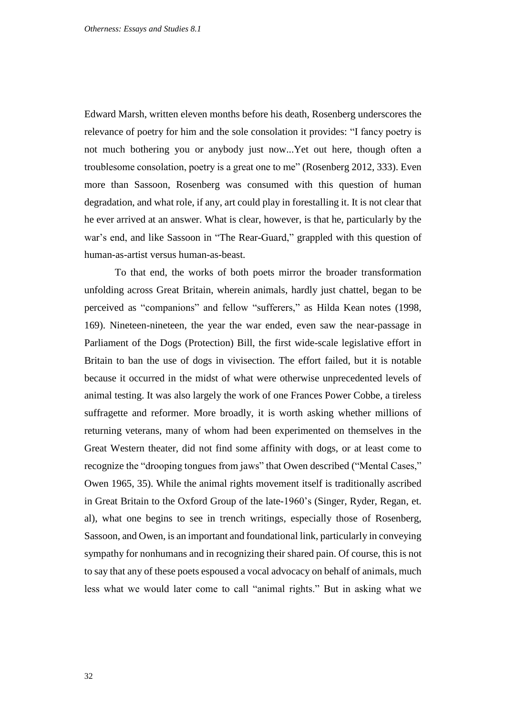Edward Marsh, written eleven months before his death, Rosenberg underscores the relevance of poetry for him and the sole consolation it provides: "I fancy poetry is not much bothering you or anybody just now...Yet out here, though often a troublesome consolation, poetry is a great one to me" (Rosenberg 2012, 333). Even more than Sassoon, Rosenberg was consumed with this question of human degradation, and what role, if any, art could play in forestalling it. It is not clear that he ever arrived at an answer. What is clear, however, is that he, particularly by the war's end, and like Sassoon in "The Rear-Guard," grappled with this question of human-as-artist versus human-as-beast.

To that end, the works of both poets mirror the broader transformation unfolding across Great Britain, wherein animals, hardly just chattel, began to be perceived as "companions" and fellow "sufferers," as Hilda Kean notes (1998, 169). Nineteen-nineteen, the year the war ended, even saw the near-passage in Parliament of the Dogs (Protection) Bill, the first wide-scale legislative effort in Britain to ban the use of dogs in vivisection. The effort failed, but it is notable because it occurred in the midst of what were otherwise unprecedented levels of animal testing. It was also largely the work of one Frances Power Cobbe, a tireless suffragette and reformer. More broadly, it is worth asking whether millions of returning veterans, many of whom had been experimented on themselves in the Great Western theater, did not find some affinity with dogs, or at least come to recognize the "drooping tongues from jaws" that Owen described ("Mental Cases," Owen 1965, 35). While the animal rights movement itself is traditionally ascribed in Great Britain to the Oxford Group of the late-1960's (Singer, Ryder, Regan, et. al), what one begins to see in trench writings, especially those of Rosenberg, Sassoon, and Owen, is an important and foundational link, particularly in conveying sympathy for nonhumans and in recognizing their shared pain. Of course, this is not to say that any of these poets espoused a vocal advocacy on behalf of animals, much less what we would later come to call "animal rights." But in asking what we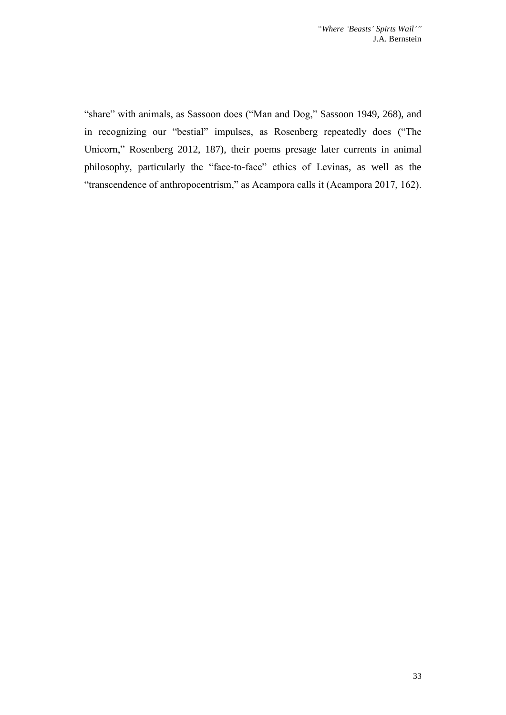"share" with animals, as Sassoon does ("Man and Dog," Sassoon 1949, 268), and in recognizing our "bestial" impulses, as Rosenberg repeatedly does ("The Unicorn," Rosenberg 2012, 187), their poems presage later currents in animal philosophy, particularly the "face-to-face" ethics of Levinas, as well as the "transcendence of anthropocentrism," as Acampora calls it (Acampora 2017, 162).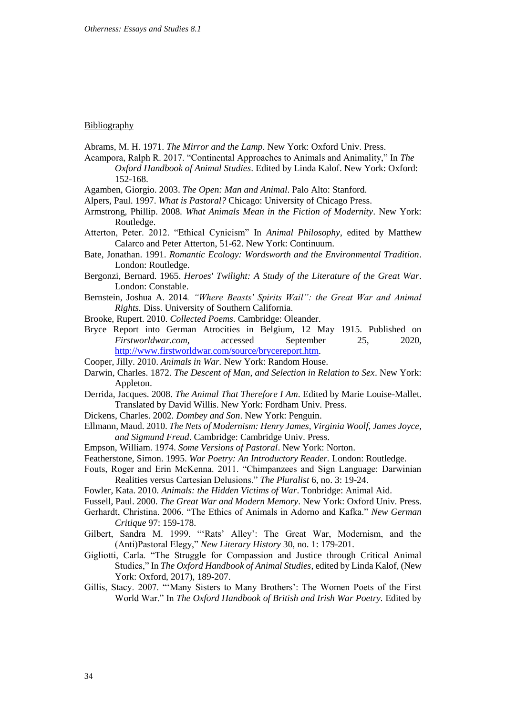#### **Bibliography**

Abrams, M. H. 1971. *The Mirror and the Lamp*. New York: Oxford Univ. Press.

- Acampora, Ralph R. 2017. "Continental Approaches to Animals and Animality," In *The Oxford Handbook of Animal Studies*. Edited by Linda Kalof. New York: Oxford: 152-168.
- Agamben, Giorgio. 2003. *The Open: Man and Animal*. Palo Alto: Stanford.
- Alpers, Paul. 1997. *What is Pastoral?* Chicago: University of Chicago Press.
- Armstrong, Phillip. 2008. *What Animals Mean in the Fiction of Modernity*. New York: Routledge.
- Atterton, Peter. 2012. "Ethical Cynicism" In *Animal Philosophy*, edited by Matthew Calarco and Peter Atterton, 51-62. New York: Continuum.
- Bate, Jonathan. 1991. *Romantic Ecology: Wordsworth and the Environmental Tradition*. London: Routledge.
- Bergonzi, Bernard. 1965. *Heroes' Twilight: A Study of the Literature of the Great War*. London: Constable.
- Bernstein, Joshua A. 2014*. "Where Beasts' Spirits Wail": the Great War and Animal Rights.* Diss. University of Southern California.
- Brooke, Rupert. 2010. *Collected Poems*. Cambridge: Oleander.
- Bryce Report into German Atrocities in Belgium, 12 May 1915. Published on *Firstworldwar.com*, accessed September 25, 2020, [http://www.firstworldwar.com/source/brycereport.htm.](http://www.firstworldwar.com/source/brycereport.htm)
- Cooper, Jilly. 2010. *Animals in War.* New York: Random House.
- Darwin, Charles. 1872. *The Descent of Man, and Selection in Relation to Sex*. New York: Appleton.
- Derrida, Jacques. 2008. *The Animal That Therefore I Am*. Edited by Marie Louise-Mallet. Translated by David Willis. New York: Fordham Univ. Press.
- Dickens, Charles. 2002. *Dombey and Son*. New York: Penguin.
- Ellmann, Maud. 2010. *The Nets of Modernism: Henry James, Virginia Woolf, James Joyce, and Sigmund Freud*. Cambridge: Cambridge Univ. Press.
- Empson, William. 1974. *Some Versions of Pastoral*. New York: Norton.
- Featherstone, Simon. 1995. *War Poetry: An Introductory Reader.* London: Routledge.
- Fouts, Roger and Erin McKenna. 2011. "Chimpanzees and Sign Language: Darwinian Realities versus Cartesian Delusions." *The Pluralist* 6, no. 3: 19-24.
- Fowler, Kata. 2010. *Animals: the Hidden Victims of War*. Tonbridge: Animal Aid.
- Fussell, Paul. 2000. *The Great War and Modern Memory*. New York: Oxford Univ. Press.
- Gerhardt, Christina. 2006. "The Ethics of Animals in Adorno and Kafka." *New German Critique* 97: 159-178.
- Gilbert, Sandra M. 1999. "'Rats' Alley': The Great War, Modernism, and the (Anti)Pastoral Elegy," *New Literary History* 30, no. 1: 179-201.
- Gigliotti, Carla. "The Struggle for Compassion and Justice through Critical Animal Studies," In *The Oxford Handbook of Animal Studies*, edited by Linda Kalof, (New York: Oxford, 2017), 189-207.
- Gillis, Stacy. 2007. "'Many Sisters to Many Brothers': The Women Poets of the First World War." In *The Oxford Handbook of British and Irish War Poetry*. Edited by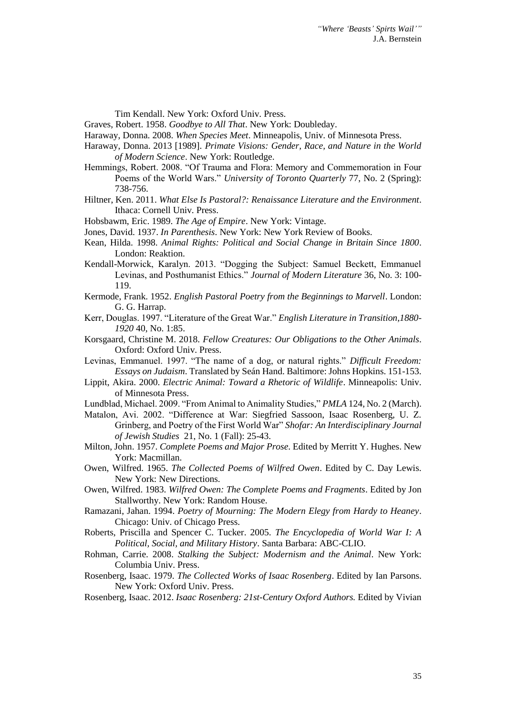Tim Kendall. New York: Oxford Univ. Press.

Graves, Robert. 1958. *Goodbye to All That*. New York: Doubleday.

Haraway, Donna. 2008. *When Species Meet*. Minneapolis, Univ. of Minnesota Press.

- Haraway, Donna. 2013 [1989]. *Primate Visions: Gender, Race, and Nature in the World of Modern Science*. New York: Routledge.
- Hemmings, Robert. 2008. "Of Trauma and Flora: Memory and Commemoration in Four Poems of the World Wars." *University of Toronto Quarterly* 77, No. 2 (Spring): 738-756.
- Hiltner, Ken. 2011. *What Else Is Pastoral?: Renaissance Literature and the Environment*. Ithaca: Cornell Univ. Press.
- Hobsbawm, Eric. 1989. *The Age of Empire*. New York: Vintage.
- Jones, David. 1937. *In Parenthesis*. New York: New York Review of Books.
- Kean, Hilda. 1998. *Animal Rights: Political and Social Change in Britain Since 1800*. London: Reaktion.
- Kendall-Morwick, Karalyn. 2013. "Dogging the Subject: Samuel Beckett, Emmanuel Levinas, and Posthumanist Ethics." *Journal of Modern Literature* 36, No. 3: 100- 119.
- Kermode, Frank. 1952. *English Pastoral Poetry from the Beginnings to Marvell*. London: G. G. Harrap.
- Kerr, Douglas. 1997. "Literature of the Great War." *English Literature in Transition,1880- 1920* 40, No. 1:85.
- Korsgaard, Christine M. 2018. *Fellow Creatures: Our Obligations to the Other Animals*. Oxford: Oxford Univ. Press.
- Levinas, Emmanuel. 1997. "The name of a dog, or natural rights." *Difficult Freedom: Essays on Judaism*. Translated by Seán Hand. Baltimore: Johns Hopkins. 151-153.
- Lippit, Akira. 2000. *Electric Animal: Toward a Rhetoric of Wildlife*. Minneapolis: Univ. of Minnesota Press.
- Lundblad, Michael. 2009. "From Animal to Animality Studies," *PMLA* 124, No. 2 (March).
- Matalon, Avi. 2002. "Difference at War: Siegfried Sassoon, Isaac Rosenberg, U. Z. Grinberg, and Poetry of the First World War" *Shofar: An Interdisciplinary Journal of Jewish Studies* 21, No. 1 (Fall): 25-43.
- Milton, John. 1957. *Complete Poems and Major Prose*. Edited by Merritt Y. Hughes. New York: Macmillan.
- Owen, Wilfred. 1965. *The Collected Poems of Wilfred Owen*. Edited by C. Day Lewis. New York: New Directions.
- Owen, Wilfred. 1983. *Wilfred Owen: The Complete Poems and Fragments*. Edited by Jon Stallworthy. New York: Random House.
- Ramazani, Jahan. 1994. *Poetry of Mourning: The Modern Elegy from Hardy to Heaney*. Chicago: Univ. of Chicago Press.
- Roberts, Priscilla and Spencer C. Tucker. 2005. *The Encyclopedia of World War I: A Political, Social, and Military History*. Santa Barbara: ABC-CLIO.
- Rohman, Carrie. 2008. *Stalking the Subject: Modernism and the Animal*. New York: Columbia Univ. Press.
- Rosenberg, Isaac. 1979. *The Collected Works of Isaac Rosenberg*. Edited by Ian Parsons. New York: Oxford Univ. Press.
- Rosenberg, Isaac. 2012. *Isaac Rosenberg: 21st-Century Oxford Authors.* Edited by Vivian